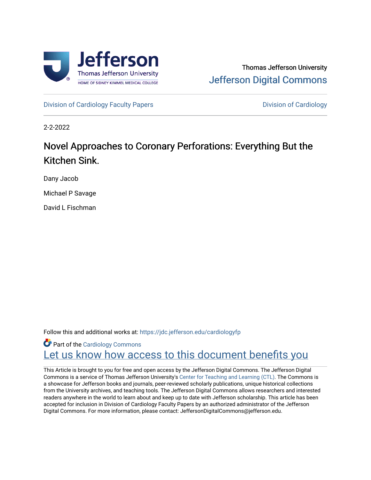

## Thomas Jefferson University [Jefferson Digital Commons](https://jdc.jefferson.edu/)

[Division of Cardiology Faculty Papers](https://jdc.jefferson.edu/cardiologyfp) **Division of Cardiology** 

2-2-2022

# Novel Approaches to Coronary Perforations: Everything But the Kitchen Sink.

Dany Jacob

Michael P Savage

David L Fischman

Follow this and additional works at: [https://jdc.jefferson.edu/cardiologyfp](https://jdc.jefferson.edu/cardiologyfp?utm_source=jdc.jefferson.edu%2Fcardiologyfp%2F98&utm_medium=PDF&utm_campaign=PDFCoverPages)

**Part of the [Cardiology Commons](http://network.bepress.com/hgg/discipline/683?utm_source=jdc.jefferson.edu%2Fcardiologyfp%2F98&utm_medium=PDF&utm_campaign=PDFCoverPages)** Let us know how access to this document benefits you

This Article is brought to you for free and open access by the Jefferson Digital Commons. The Jefferson Digital Commons is a service of Thomas Jefferson University's [Center for Teaching and Learning \(CTL\)](http://www.jefferson.edu/university/teaching-learning.html/). The Commons is a showcase for Jefferson books and journals, peer-reviewed scholarly publications, unique historical collections from the University archives, and teaching tools. The Jefferson Digital Commons allows researchers and interested readers anywhere in the world to learn about and keep up to date with Jefferson scholarship. This article has been accepted for inclusion in Division of Cardiology Faculty Papers by an authorized administrator of the Jefferson Digital Commons. For more information, please contact: JeffersonDigitalCommons@jefferson.edu.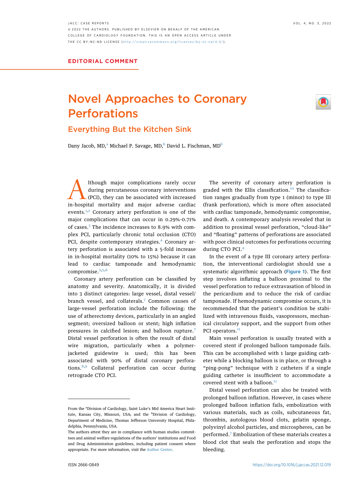# Novel Approaches to Coronary<br>Perforations

### **Everything But the Kitchen Sink** Everything But the Kitchen Sink

D[a](#page-1-0)ny Jaco[b](#page-1-1), MD,<sup>a</sup> Michael P. Savage, MD,<sup>b</sup> David L. Fischman, MD<sup>b</sup>

Although major complications rarely occur<br>during percutaneous coronary interventions<br>in-hospital mortality and major adverse cardiac during percutaneous coronary interventions (PCI), they can be associated with increased events.<sup>[1,](#page-3-0)[2](#page-3-1)</sup> Coronary artery perforation is one of the major complications that can occur in 0.29%-0.71% of cases.<sup>[3](#page-3-2)</sup> The incidence increases to 8.9% with complex PCI, particularly chronic total occlusion (CTO) PCI, despite contemporary strategies.<sup>[4](#page-3-3)</sup> Coronary artery perforation is associated with a 5-fold increase in in-hospital mortality (10% to 15%) because it can lead to cardiac tamponade and hemodynamic compromise.<sup>[3](#page-3-2),[5](#page-3-4)[,6](#page-3-5)</sup>

Coronary artery perforation can be classified by anatomy and severity. Anatomically, it is divided into 3 distinct categories: large vessel, distal vessel/ branch vessel, and collaterals.<sup>[7](#page-3-6)</sup> Common causes of large-vessel perforation include the following: the use of atherectomy devices, particularly in an angled segment; oversized balloon or stent; high inflation pressures in calcified lesion; and balloon rupture.[7](#page-3-6) Distal vessel perforation is often the result of distal wire migration, particularly when a polymerjacketed guidewire is used; this has been associated with 90% of distal coronary perforations.[8](#page-3-7)[,9](#page-3-8) Collateral perforation can occur during retrograde CTO PCI.

The severity of coronary artery perforation is graded with the Ellis classification.<sup>[10](#page-3-9)</sup> The classification ranges gradually from type 1 (minor) to type III (frank perforation), which is more often associated with cardiac tamponade, hemodynamic compromise, and death. A contemporary analysis revealed that in addition to proximal vessel perforation, "cloud-like" and "floating" patterns of perforations are associated with poor clinical outcomes for perforations occurring during CTO PCI.<sup>[4](#page-3-3)</sup>

In the event of a type III coronary artery perforation, the interventional cardiologist should use a systematic algorithmic approach ([Figure 1](#page-2-0)). The first step involves inflating a balloon proximal to the vessel perforation to reduce extravasation of blood in the pericardium and to reduce the risk of cardiac tamponade. If hemodynamic compromise occurs, it is recommended that the patient's condition be stabilized with intravenous fluids, vasopressors, mechanical circulatory support, and the support from other PCI operators.<sup>[11](#page-3-10)</sup>

Main vessel perforation is usually treated with a covered stent if prolonged balloon tamponade fails. This can be accomplished with 1 large guiding catheter while a blocking balloon is in place, or through a "ping-pong" technique with 2 catheters if a single guiding catheter is insufficient to accommodate a covered stent with a balloon. $11$ 

Distal vessel perforation can also be treated with prolonged balloon inflation. However, in cases where prolonged balloon inflation fails, embolization with various materials, such as coils, subcutaneous fat, thrombin, autologous blood clots, gelatin sponge, polyvinyl alcohol particles, and microspheres, can be performed.[7](#page-3-6) Embolization of these materials creates a blood clot that seals the perforation and stops the bleeding.

<span id="page-1-1"></span><span id="page-1-0"></span>From the <sup>a</sup>Division of Cardiology, Saint Luke's Mid America Heart Institute, Kansas City, Missouri, USA; and the <sup>b</sup>Division of Cardiology, Department of Medicine, Thomas Jefferson University Hospital, Philadelphia, Pennsylvania, USA.

The authors attest they are in compliance with human studies committees and animal welfare regulations of the authors' institutions and Food and Drug Administration guidelines, including patient consent where appropriate. For more information, visit the [Author Center.](https://www.jacc.org/author-center)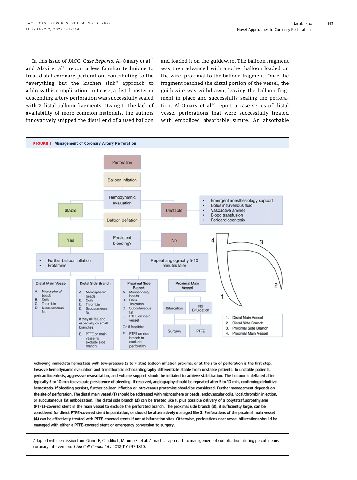In this issue of JACC: Case Reports, Al-Omary et  $al<sup>12</sup>$  $al<sup>12</sup>$  $al<sup>12</sup>$ and Alavi et al $13$  report a less familiar technique to treat distal coronary perforation, contributing to the "everything but the kitchen sink" approach to address this complication. In 1 case, a distal posterior descending artery perforation was successfully sealed with 2 distal balloon fragments. Owing to the lack of availability of more common materials, the authors innovatively snipped the distal end of a used balloon

and loaded it on the guidewire. The balloon fragment was then advanced with another balloon loaded on the wire, proximal to the balloon fragment. Once the fragment reached the distal portion of the vessel, the guidewire was withdrawn, leaving the balloon fragment in place and successfully sealing the perfora-tion. Al-Omary et al<sup>[12](#page-3-11)</sup> report a case series of distal vessel perforations that were successfully treated with embolized absorbable suture. An absorbable

<span id="page-2-0"></span>

Achieving immediate hemostasis with low-pressure (2 to 4 atm) balloon inflation proximal or at the site of perforation is the first step. Invasive hemodynamic evaluation and transthoracic echocardiography differentiate stable from unstable patients. In unstable patients, pericardiocentesis, aggressive resuscitation, and volume support should be initiated to achieve stabilization. The balloon is deflated after typically 5 to 10 min to evaluate persistence of bleeding. If resolved, angiography should be repeated after 5 to 10 min, confirming definitive hemostasis. If bleeding persists, further balloon inflation or intravenous protamine should be considered. Further management depends on the site of perforation. The distal main vessel (1) should be addressed with microsphere or beads, endovascular coils, local thrombin injection, or subcutaneous fat embolization. The distal side branch (2) can be treated like 1, plus possible delivery of a polytetrafluoroethylene (PTFE)-covered stent in the main vessel to exclude the perforated branch. The proximal side branch (3), if sufficiently large, can be considered for direct PTFE-covered stent implantation, or should be alternatively managed like 2. Perforations of the proximal main vessel (4) can be effectively treated with PTFE-covered stents if not at bifurcation sites. Otherwise, perforations near vessel bifurcations should be managed with either a PTFE-covered stent or emergency conversion to surgery.

Adapted with permission from Gianni F, Candilio L, Mitomo S, et al. A practical approach to management of complications during percutaneous coronary intervention. J Am Coll Cardiol Intv 2018;11:1797-1810.